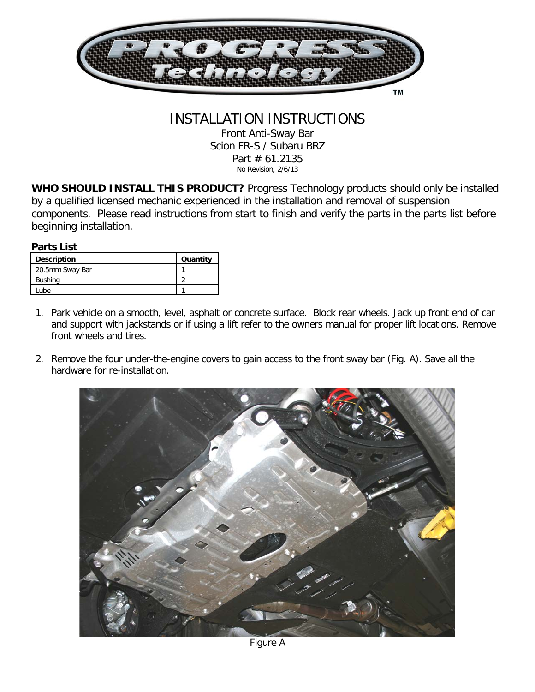

## INSTALLATION INSTRUCTIONS Front Anti-Sway Bar Scion FR-S / Subaru BRZ Part # 61.2135 No Revision, 2/6/13

**WHO SHOULD INSTALL THIS PRODUCT?** Progress Technology products should only be installed by a qualified licensed mechanic experienced in the installation and removal of suspension components. Please read instructions from start to finish and verify the parts in the parts list before beginning installation.

## **Parts List**

| <b>Description</b> | Quantity |
|--------------------|----------|
| 20.5mm Sway Bar    |          |
| <b>Bushing</b>     |          |
| Lube               |          |

- 1. Park vehicle on a smooth, level, asphalt or concrete surface. Block rear wheels. Jack up front end of car and support with jackstands or if using a lift refer to the owners manual for proper lift locations. Remove front wheels and tires.
- 2. Remove the four under-the-engine covers to gain access to the front sway bar (Fig. A). Save all the hardware for re-installation.

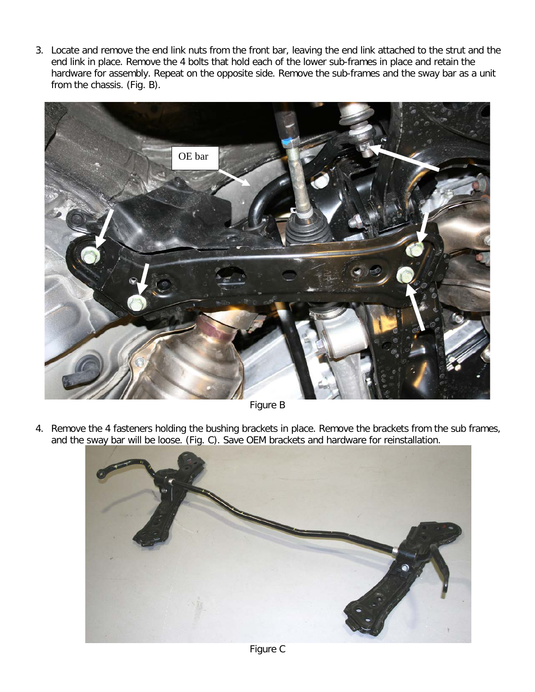3. Locate and remove the end link nuts from the front bar, leaving the end link attached to the strut and the end link in place. Remove the 4 bolts that hold each of the lower sub-frames in place and retain the hardware for assembly. Repeat on the opposite side. Remove the sub-frames and the sway bar as a unit from the chassis. (Fig. B).



Figure B

4. Remove the 4 fasteners holding the bushing brackets in place. Remove the brackets from the sub frames, and the sway bar will be loose. (Fig. C). Save OEM brackets and hardware for reinstallation.